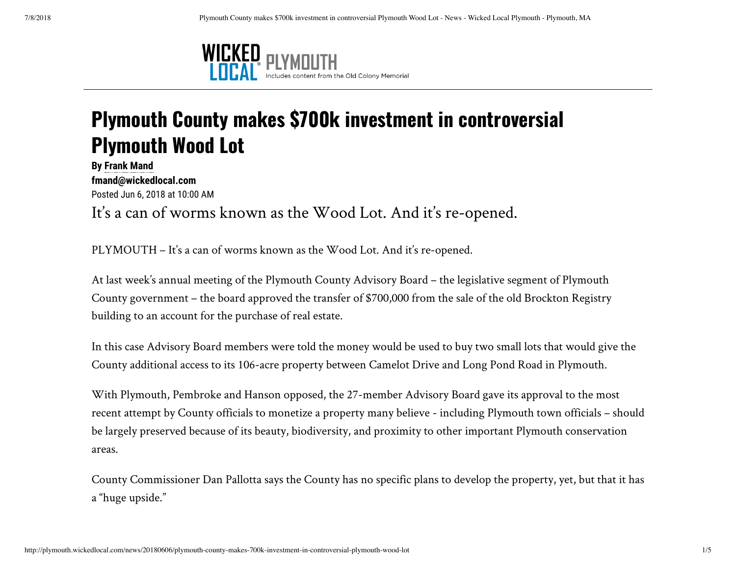

## **Plymouth County makes \$700k investment in controversial Plymouth Wood Lot**

**By Frank Mand fmand@wickedlocal.com**  Posted Jun 6, 2018 at 10:00 AM It's a can of worms known as the Wood Lot. And it's re-opened.

PLYMOUTH – It's a can of worms known as the Wood Lot. And it's re-opened.

At last week's annual meeting of the Plymouth County Advisory Board – the legislative segment of Plymouth County government – the board approved the transfer of \$700,000 from the sale of the old Brockton Registry building to an account for the purchase of real estate.

In this case Advisory Board members were told the money would be used to buy two small lots that would give the County additional access to its 106-acre property between Camelot Drive and Long Pond Road in Plymouth.

With Plymouth, Pembroke and Hanson opposed, the 27-member Advisory Board gave its approval to the most recent attempt by County officials to monetize a property many believe - including Plymouth town officials – should be largely preserved because of its beauty, biodiversity, and proximity to other important Plymouth conservation areas.

County Commissioner Dan Pallotta says the County has no specific plans to develop the property, yet, but that it has a "huge upside."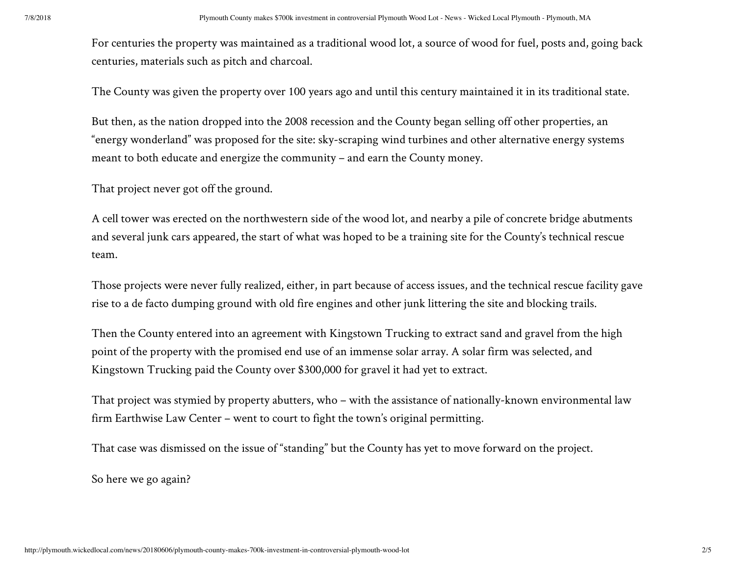For centuries the property was maintained as a traditional wood lot, a source of wood for fuel, posts and, going back centuries, materials such as pitch and charcoal.

The County was given the property over 100 years ago and until this century maintained it in its traditional state.

But then, as the nation dropped into the 2008 recession and the County began selling off other properties, an "energy wonderland" was proposed for the site: sky-scraping wind turbines and other alternative energy systems meant to both educate and energize the community – and earn the County money.

That project never got off the ground.

A cell tower was erected on the northwestern side of the wood lot, and nearby a pile of concrete bridge abutments and several junk cars appeared, the start of what was hoped to be a training site for the County's technical rescue team.

Those projects were never fully realized, either, in part because of access issues, and the technical rescue facility gave rise to a de facto dumping ground with old fire engines and other junk littering the site and blocking trails.

Then the County entered into an agreement with Kingstown Trucking to extract sand and gravel from the high point of the property with the promised end use of an immense solar array. A solar firm was selected, and Kingstown Trucking paid the County over \$300,000 for gravel it had yet to extract.

That project was stymied by property abutters, who – with the assistance of nationally-known environmental law firm Earthwise Law Center – went to court to fight the town's original permitting.

That case was dismissed on the issue of "standing" but the County has yet to move forward on the project.

So here we go again?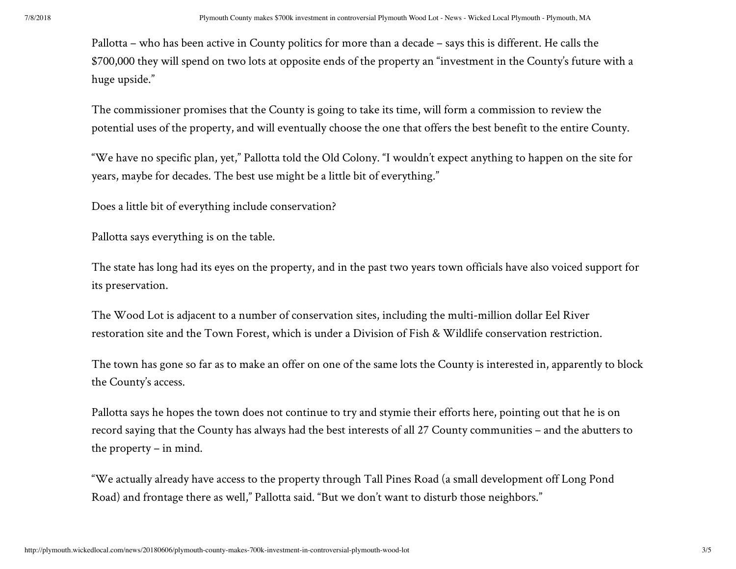Pallotta – who has been active in County politics for more than a decade – says this is different. He calls the \$700,000 they will spend on two lots at opposite ends of the property an "investment in the County's future with a huge upside."

The commissioner promises that the County is going to take its time, will form a commission to review the potential uses of the property, and will eventually choose the one that offers the best benefit to the entire County.

"We have no specific plan, yet," Pallotta told the Old Colony. "I wouldn't expect anything to happen on the site for years, maybe for decades. The best use might be a little bit of everything."

Does a little bit of everything include conservation?

Pallotta says everything is on the table.

The state has long had its eyes on the property, and in the past two years town officials have also voiced support for its preservation.

The Wood Lot is adjacent to a number of conservation sites, including the multi-million dollar Eel River restoration site and the Town Forest, which is under a Division of Fish & Wildlife conservation restriction.

The town has gone so far as to make an offer on one of the same lots the County is interested in, apparently to block the County's access.

Pallotta says he hopes the town does not continue to try and stymie their efforts here, pointing out that he is on record saying that the County has always had the best interests of all 27 County communities – and the abutters to the property – in mind.

"We actually already have access to the property through Tall Pines Road (a small development off Long Pond Road) and frontage there as well," Pallotta said. "But we don't want to disturb those neighbors."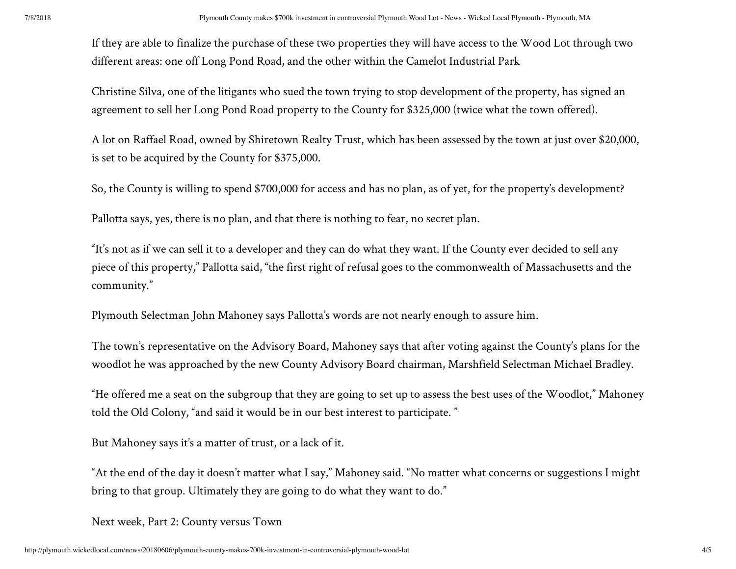If they are able to finalize the purchase of these two properties they will have access to the Wood Lot through two different areas: one off Long Pond Road, and the other within the Camelot Industrial Park

Christine Silva, one of the litigants who sued the town trying to stop development of the property, has signed an agreement to sell her Long Pond Road property to the County for \$325,000 (twice what the town offered).

A lot on Raffael Road, owned by Shiretown Realty Trust, which has been assessed by the town at just over \$20,000, is set to be acquired by the County for \$375,000.

So, the County is willing to spend \$700,000 for access and has no plan, as of yet, for the property's development?

Pallotta says, yes, there is no plan, and that there is nothing to fear, no secret plan.

"It's not as if we can sell it to a developer and they can do what they want. If the County ever decided to sell any piece of this property," Pallotta said, "the first right of refusal goes to the commonwealth of Massachusetts and the community."

Plymouth Selectman John Mahoney says Pallotta's words are not nearly enough to assure him.

The town's representative on the Advisory Board, Mahoney says that after voting against the County's plans for the woodlot he was approached by the new County Advisory Board chairman, Marshfield Selectman Michael Bradley.

"He offered me a seat on the subgroup that they are going to set up to assess the best uses of the Woodlot," Mahoney told the Old Colony, "and said it would be in our best interest to participate. "

But Mahoney says it's a matter of trust, or a lack of it.

"At the end of the day it doesn't matter what I say," Mahoney said. "No matter what concerns or suggestions I might bring to that group. Ultimately they are going to do what they want to do."

Next week, Part 2: County versus Town